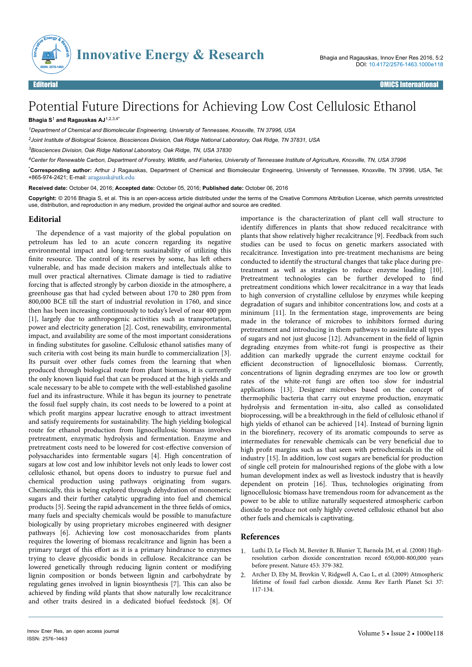

## Potential Future Directions for Achieving Low Cost Cellulosic Ethanol

## **Bhagia S**<sup>1</sup>  **and Ragauskas AJ**1,2,3,4\*

*<sup>1</sup>Department of Chemical and Biomolecular Engineering, University of Tennessee, Knoxville, TN 37996, USA*

*<sup>2</sup>Joint Institute of Biological Science, Biosciences Division, Oak Ridge National Laboratory, Oak Ridge, TN 37831, USA*

*<sup>3</sup>Biosciences Division, Oak Ridge National Laboratory, Oak Ridge, TN, USA 37830*

*<sup>4</sup>Center for Renewable Carbon, Department of Forestry, Wildlife, and Fisheries, University of Tennessee Institute of Agriculture, Knoxville, TN, USA 37996*

\***Corresponding author:** Arthur J Ragauskas, Department of Chemical and Biomolecular Engineering, University of Tennessee, Knoxville, TN 37996, USA, Tel: +865-974-2421; E-mail: [aragausk@utk.edu](mailto:aragausk@utk.edu)

**Received date:** October 04, 2016; **Accepted date:** October 05, 2016; **Published date:** October 06, 2016

**Copyright:** © 2016 Bhagia S, et al. This is an open-access article distributed under the terms of the Creative Commons Attribution License, which permits unrestricted use, distribution, and reproduction in any medium, provided the original author and source are credited.

## **Editorial**

The dependence of a vast majority of the global population on petroleum has led to an acute concern regarding its negative environmental impact and long-term sustainability of utilizing this finite resource. The control of its reserves by some, has left others vulnerable, and has made decision makers and intellectuals alike to mull over practical alternatives. Climate damage is tied to radiative forcing that is affected strongly by carbon dioxide in the atmosphere, a greenhouse gas that had cycled between about 170 to 280 ppm from 800,000 BCE till the start of industrial revolution in 1760, and since then has been increasing continuously to today's level of near 400 ppm [1], largely due to anthropogenic activities such as transportation, power and electricity generation [2]. Cost, renewability, environmental impact, and availability are some of the most important considerations in finding substitutes for gasoline. Cellulosic ethanol satisfies many of such criteria with cost being its main hurdle to commercialization [3]. Its pursuit over other fuels comes from the learning that when produced through biological route from plant biomass, it is currently the only known liquid fuel that can be produced at the high yields and scale necessary to be able to compete with the well-established gasoline fuel and its infrastructure. While it has begun its journey to penetrate the fossil fuel supply chain, its cost needs to be lowered to a point at which profit margins appear lucrative enough to attract investment and satisfy requirements for sustainability. Нe high yielding biological route for ethanol production from lignocellulosic biomass involves pretreatment, enzymatic hydrolysis and fermentation. Enzyme and pretreatment costs need to be lowered for cost-effective conversion of polysaccharides into fermentable sugars [4]. High concentration of sugars at low cost and low inhibitor levels not only leads to lower cost cellulosic ethanol, but opens doors to industry to pursue fuel and chemical production using pathways originating from sugars. Chemically, this is being explored through dehydration of monomeric sugars and their further catalytic upgrading into fuel and chemical products [5]. Seeing the rapid advancement in the three fields of omics, many fuels and specialty chemicals would be possible to manufacture biologically by using proprietary microbes engineered with designer pathways [6]. Achieving low cost monosaccharides from plants requires the lowering of biomass recalcitrance and lignin has been a primary target of this effort as it is a primary hindrance to enzymes trying to cleave glycosidic bonds in cellulose. Recalcitrance can be lowered genetically through reducing lignin content or modifying lignin composition or bonds between lignin and carbohydrate by regulating genes involved in lignin biosynthesis [7]. This can also be achieved by finding wild plants that show naturally low recalcitrance and other traits desired in a dedicated biofuel feedstock [8]. Of

importance is the characterization of plant cell wall structure to identify differences in plants that show reduced recalcitrance with plants that show relatively higher recalcitrance [9]. Feedback from such studies can be used to focus on genetic markers associated with recalcitrance. Investigation into pre-treatment mechanisms are being conducted to identify the structural changes that take place during pretreatment as well as strategies to reduce enzyme loading [10]. Pretreatment technologies can be further developed to find pretreatment conditions which lower recalcitrance in a way that leads to high conversion of crystalline cellulose by enzymes while keeping degradation of sugars and inhibitor concentrations low, and costs at a minimum [11]. In the fermentation stage, improvements are being made in the tolerance of microbes to inhibitors formed during pretreatment and introducing in them pathways to assimilate all types of sugars and not just glucose [12]. Advancement in the field of lignin degrading enzymes from white-rot fungi is prospective as their addition can markedly upgrade the current enzyme cocktail for efficient deconstruction of lignocellulosic biomass. Currently, concentrations of lignin degrading enzymes are too low or growth rates of the white-rot fungi are often too slow for industrial applications [13]. Designer microbes based on the concept of thermophilic bacteria that carry out enzyme production, enzymatic hydrolysis and fermentation in-situ, also called as consolidated bioprocessing, will be a breakthrough in the field of cellulosic ethanol if high yields of ethanol can be achieved [14]. Instead of burning lignin in the biorefinery, recovery of its aromatic compounds to serve as intermediates for renewable chemicals can be very beneficial due to high profit margins such as that seen with petrochemicals in the oil  $industry$  [15]. In addition, low cost sugars are beneficial for production of single cell protein for malnourished regions of the globe with a low human development index as well as livestock industry that is heavily dependent on protein [16]. Нus, technologies originating from lignocellulosic biomass have tremendous room for advancement as the power to be able to utilize naturally sequestered atmospheric carbon dioxide to produce not only highly coveted cellulosic ethanol but also other fuels and chemicals is captivating.

## **References**

- 1. [Luthi D, Le Floch M, Bereiter B, Blunier T, Barnola JM, et al. \(2008\) High](http://dx.doi.org/10.1038/nature06949)[resolution carbon dioxide concentration record 650,000-800,000 years](http://dx.doi.org/10.1038/nature06949) [before present. Nature 453: 379-382.](http://dx.doi.org/10.1038/nature06949)
- 2. [Archer D, Eby M, Brovkin V, Ridgwell A, Cao L, et al. \(2009\) Atmospheric](http://dx.doi.org/10.1146/annurev.earth.031208.100206) [lifetime of fossil fuel carbon dioxide. Annu Rev Earth Planet Sci 37:](http://dx.doi.org/10.1146/annurev.earth.031208.100206) [117-134.](http://dx.doi.org/10.1146/annurev.earth.031208.100206)